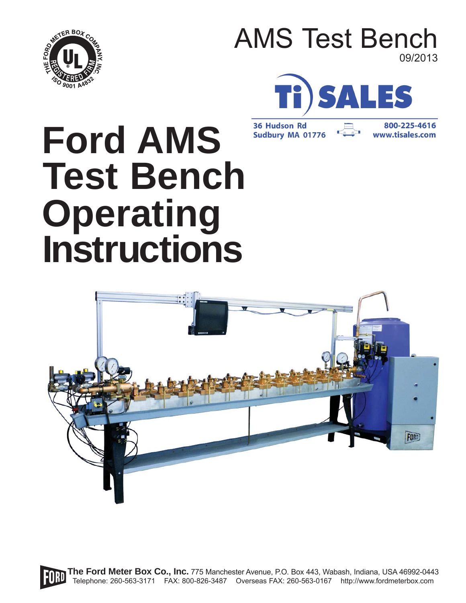

## AMS Test Bench 09/2013



**36 Hudson Rd Sudbury MA 01776** 

800-225-4616 www.tisales.com

# **Ford AMS Test Bench Operating Instructions**



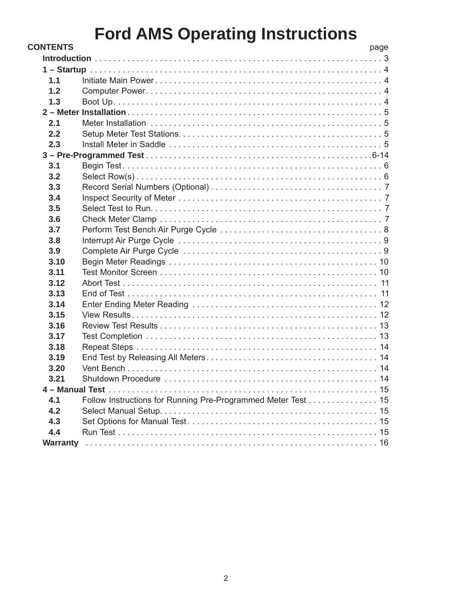| <b>CONTENTS</b> |                                                              | page |
|-----------------|--------------------------------------------------------------|------|
|                 |                                                              |      |
|                 |                                                              |      |
| 1.1             |                                                              |      |
| 1.2             |                                                              |      |
| 1.3             |                                                              |      |
|                 |                                                              |      |
| 2.1             |                                                              |      |
| 2.2             |                                                              |      |
| 2.3             |                                                              |      |
|                 |                                                              |      |
| 3.1             |                                                              |      |
| 3.2             |                                                              |      |
| 3.3             |                                                              |      |
| 3.4             |                                                              |      |
| 3.5             |                                                              |      |
| 3.6             |                                                              |      |
| 3.7             |                                                              |      |
| 3.8             |                                                              |      |
| 3.9             |                                                              |      |
| 3.10            |                                                              |      |
| 3.11            |                                                              |      |
| 3.12            |                                                              |      |
| 3.13            |                                                              |      |
| 3.14            |                                                              |      |
| 3.15            |                                                              |      |
| 3.16            |                                                              |      |
| 3.17            |                                                              |      |
| 3.18            |                                                              |      |
| 3.19            |                                                              |      |
| 3.20            |                                                              |      |
| 3.21            |                                                              |      |
|                 |                                                              |      |
| 4.1             | Follow Instructions for Running Pre-Programmed Meter Test 15 |      |
| 4.2             |                                                              |      |
| 4.3             |                                                              |      |
| 4.4             |                                                              |      |
|                 |                                                              |      |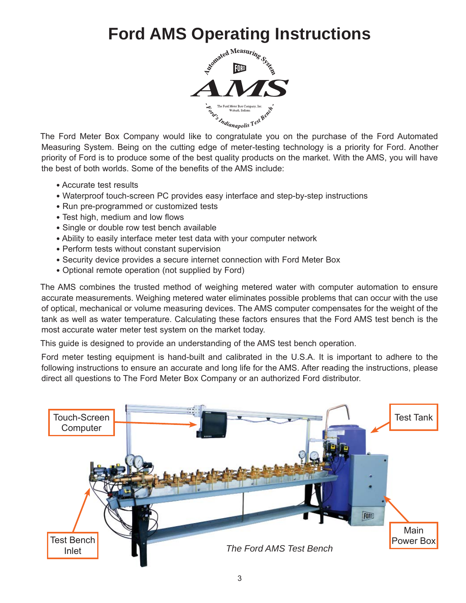

The Ford Meter Box Company would like to congratulate you on the purchase of the Ford Automated Measuring System. Being on the cutting edge of meter-testing technology is a priority for Ford. Another priority of Ford is to produce some of the best quality products on the market. With the AMS, you will have the best of both worlds. Some of the benefits of the AMS include:

- Accurate test results
- Waterproof touch-screen PC provides easy interface and step-by-step instructions
- Run pre-programmed or customized tests
- Test high, medium and low flows
- Single or double row test bench available
- Ability to easily interface meter test data with your computer network
- Perform tests without constant supervision
- Security device provides a secure internet connection with Ford Meter Box
- Optional remote operation (not supplied by Ford)

The AMS combines the trusted method of weighing metered water with computer automation to ensure accurate measurements. Weighing metered water eliminates possible problems that can occur with the use of optical, mechanical or volume measuring devices. The AMS computer compensates for the weight of the tank as well as water temperature. Calculating these factors ensures that the Ford AMS test bench is the most accurate water meter test system on the market today.

This guide is designed to provide an understanding of the AMS test bench operation.

Ford meter testing equipment is hand-built and calibrated in the U.S.A. It is important to adhere to the following instructions to ensure an accurate and long life for the AMS. After reading the instructions, please direct all questions to The Ford Meter Box Company or an authorized Ford distributor.

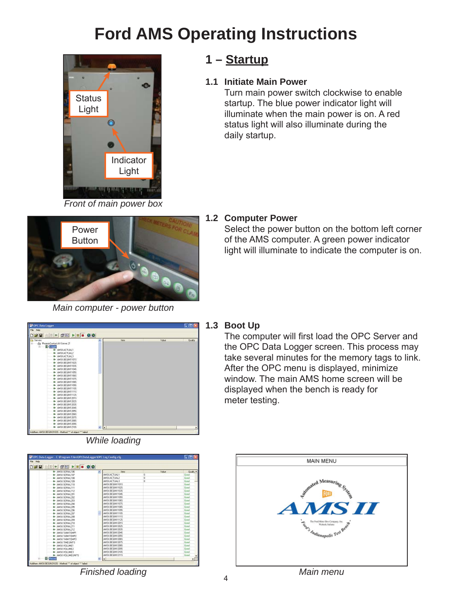

*Front of main power box*

### **1 – Startup**

#### **1.1 Initiate Main Power**

 Turn main power switch clockwise to enable startup. The blue power indicator light will illuminate when the main power is on. A red status light will also illuminate during the daily startup.



#### *Main computer - power button*

#### **1.2 Computer Power**

 Select the power button on the bottom left corner of the AMS computer. A green power indicator light will illuminate to indicate the computer is on.



*While loading*

#### **1.3 Boot Up**

The computer will first load the OPC Server and the OPC Data Logger screen. This process may take several minutes for the memory tags to link. After the OPC menu is displayed, minimize window. The main AMS home screen will be displayed when the bench is ready for meter testing.

| File Holp<br>SHE 28 - 0 - 00 |                    |              |                   |
|------------------------------|--------------------|--------------|-------------------|
| ANSILSERIAL106<br>٠          | <b>I My's</b>      | <b>Maker</b> | <b>Quality A</b>  |
| ANSILSERIAL107<br>o          | ANSILACTUALS       | <b>O</b>     | fired             |
| ANSILSERIAL108<br>a          | ANSUACTUAL2        | o            | <b>Genet</b>      |
| ANSILSERIAL109<br>G.         | ANSILACTUAL3       | o            | <b>Giovel</b>     |
| ANSILSERIAL110<br>G.         | ANSILEE GINT1015   |              | <b>Girod</b>      |
| ANSILSERIAL111<br>o          | ANSI BEBINT1029    |              | <b>Genel</b>      |
| ANSILSERIAL112<br>a          | ANSILEE BRITTOPS   |              | <b>Greet</b>      |
| ANSILSERIAL201<br>o.         | ANSI REGRITTORS    |              | <b>fi</b> pinel   |
| ANSILSERIAL202<br>a          | ANSILEEEM11099     |              | <b>Girod</b>      |
| AMSILSERIAL203<br>o          | ANSILEE BRITTORS   |              | <b>firmed</b>     |
| ANSILSERIAL204<br>a          | ANSILEE BRITTOPS   |              | <b>Grand</b>      |
| ANSILSERIAL205<br>o.         | AN SILEE BRITTOPS  |              | <b>Gined</b>      |
| ANSILSERIAL206<br>a          | ANSILEEEM11099     |              | <b>Girod</b>      |
| AMSH SERIAL 207<br>o         | ANSILEEEM11109     |              | <b>firmed</b>     |
| ANSILERIAL208<br>a           | ANSII BEGINI1115   |              | <b>Grand</b>      |
| ANSILSERIAL209<br>a          | ANSILEE EINT1129   |              | <b>fi</b> ind     |
| ANSILSERIAL210<br>o          | ANSILEEE P/12019   |              | <b>Girod</b>      |
| AMSH SERIAL 211<br>o         | AN SILEE BINT 2029 |              | <b>Genel</b>      |
| ANSILSERIAL212<br>a          | ANSILEE BRIT2039   |              | <b>Genet</b>      |
| ANSILTANCTENPT<br>o.         | AN SILBER BUT 2049 |              | <b>fired</b>      |
| ANSILTANCTEMP2<br>٠          | AN SILBE BIN12099  |              | <b>Girad</b>      |
| ANSILTANETEMP3<br>o          | AN SILEE BINT 2085 |              | <b>Genel</b>      |
| ANSILTIMEUNITS<br>o          | ANSILEE BRIT2075   |              | <b>Genel</b>      |
| ANSILVOLUMET<br>o.           | AN SILBER BLY 2085 |              | <b>fired</b>      |
| ANSILVALIME?<br>o.           | AN SILBE BIN12099  |              | <b>Girad</b>      |
| ANSILVOLUME3<br>o.           | ANSI REBRIT20S     |              | <b>firmed</b>     |
| <b>G- ANSILVOLUMEURITS</b>   | ANSILEE BRIT211S   |              | <b>Genet</b><br>٠ |
| <b>F</b> Fleccad             | ı٠                 |              |                   |



4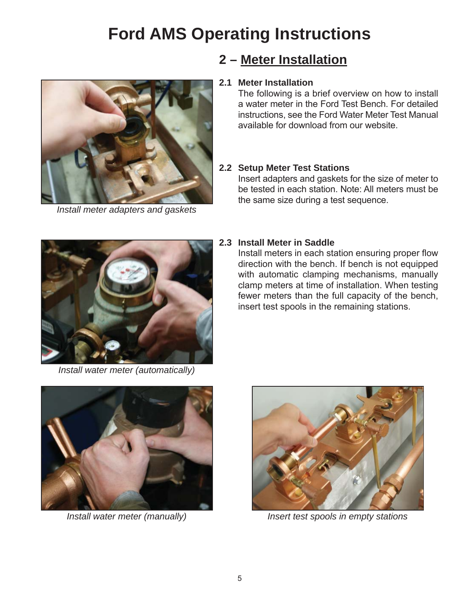

*Install meter adapters and gaskets*

### **2 – Meter Installation**

#### **2.1 Meter Installation**

The following is a brief overview on how to install a water meter in the Ford Test Bench. For detailed instructions, see the Ford Water Meter Test Manual available for download from our website.

#### **2.2 Setup Meter Test Stations**

Insert adapters and gaskets for the size of meter to be tested in each station. Note: All meters must be the same size during a test sequence.



#### **2.3 Install Meter in Saddle**

Install meters in each station ensuring proper flow direction with the bench. If bench is not equipped with automatic clamping mechanisms, manually clamp meters at time of installation. When testing fewer meters than the full capacity of the bench, insert test spools in the remaining stations.

*Install water meter (automatically)*





*Install water meter (manually) Insert test spools in empty stations*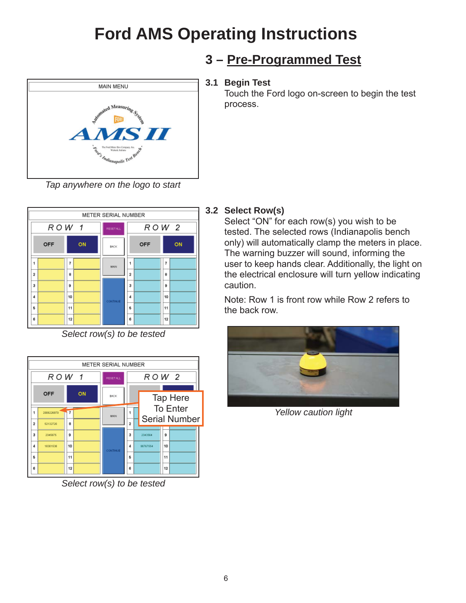

*Tap anywhere on the logo to start*



*Select row(s) to be tested*



*Select row(s) to be tested*

## **3 – Pre-Programmed Test**

#### **3.1 Begin Test**

 Touch the Ford logo on-screen to begin the test process.

#### **3.2 Select Row(s)**

 Select "ON" for each row(s) you wish to be tested. The selected rows (Indianapolis bench only) will automatically clamp the meters in place. The warning buzzer will sound, informing the user to keep hands clear. Additionally, the light on the electrical enclosure will turn yellow indicating caution.

 Note: Row 1 is front row while Row 2 refers to the back row.



*Yellow caution light*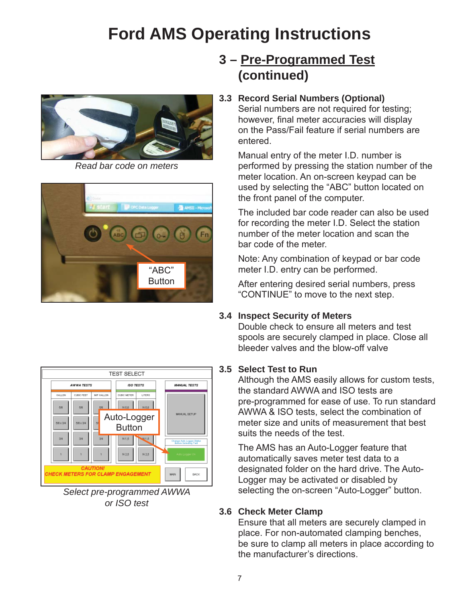

*Read bar code on meters*



## **3 – Pre-Programmed Test (continued)**

#### **3.3 Record Serial Numbers (Optional)**

 Serial numbers are not required for testing; however, final meter accuracies will display on the Pass/Fail feature if serial numbers are entered.

 Manual entry of the meter I.D. number is performed by pressing the station number of the meter location. An on-screen keypad can be used by selecting the "ABC" button located on the front panel of the computer.

 The included bar code reader can also be used for recording the meter I.D. Select the station number of the meter location and scan the bar code of the meter.

 Note: Any combination of keypad or bar code meter I.D. entry can be performed.

 After entering desired serial numbers, press "CONTINUE" to move to the next step.

#### **3.4 Inspect Security of Meters**

 Double check to ensure all meters and test spools are securely clamped in place. Close all bleeder valves and the blow-off valve

#### **3.5 Select Test to Run**

 Although the AMS easily allows for custom tests, the standard AWWA and ISO tests are pre-programmed for ease of use. To run standard AWWA & ISO tests, select the combination of meter size and units of measurement that best suits the needs of the test.

 The AMS has an Auto-Logger feature that automatically saves meter test data to a designated folder on the hard drive. The Auto- Logger may be activated or disabled by selecting the on-screen "Auto-Logger" button.

#### **3.6 Check Meter Clamp**

 Ensure that all meters are securely clamped in place. For non-automated clamping benches, be sure to clamp all meters in place according to the manufacturer's directions.



*Select pre-programmed AWWA or ISO test*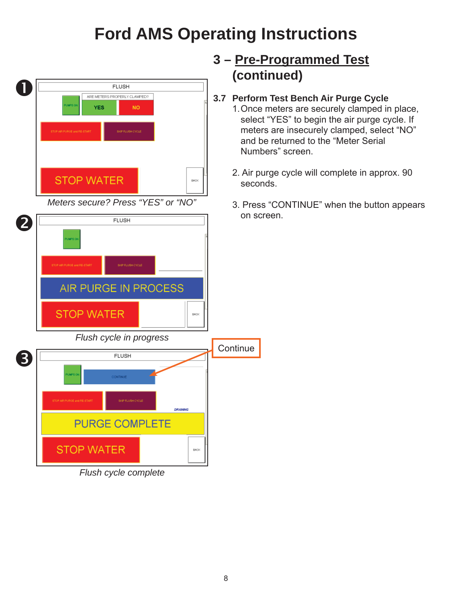

## **3.7 Perform Test Bench Air Purge Cycle**

- 1. Once meters are securely clamped in place, select "YES" to begin the air purge cycle. If meters are insecurely clamped, select "NO" and be returned to the "Meter Serial Numbers" screen.
- 2. Air purge cycle will complete in approx. 90
- 3. Press "CONTINUE" when the button appears

8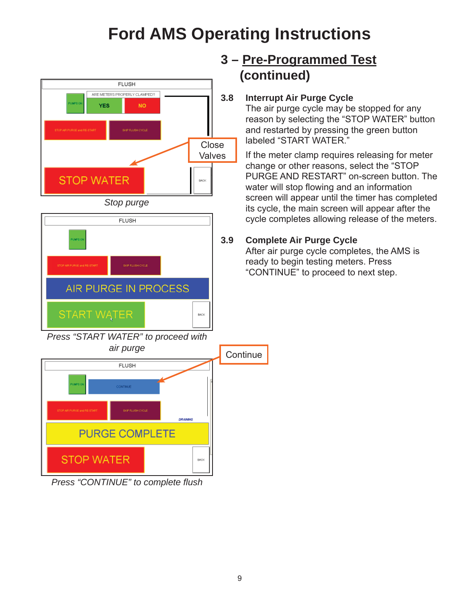

**FLUSH** 

AIR PURGE IN PROCESS

**START WATER** 

## **3 – Pre-Programmed Test (continued)**

#### **3.8 Interrupt Air Purge Cycle**

 The air purge cycle may be stopped for any reason by selecting the "STOP WATER" button and restarted by pressing the green button labeled "START WATER."

 If the meter clamp requires releasing for meter change or other reasons, select the "STOP PURGE AND RESTART" on-screen button. The water will stop flowing and an information screen will appear until the timer has completed its cycle, the main screen will appear after the cycle completes allowing release of the meters.

#### **3.9 Complete Air Purge Cycle**

 After air purge cycle completes, the AMS is ready to begin testing meters. Press "CONTINUE" to proceed to next step.



**BACK** 

*Press "CONTINUE" to complete fl ush*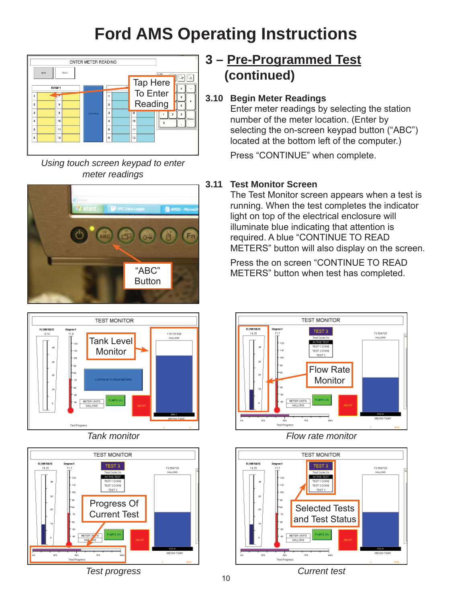

*Using touch screen keypad to enter meter readings*







*Test progress*

## **3 – Pre-Programmed Test (continued)**

#### **3.10 Begin Meter Readings**

 Enter meter readings by selecting the station number of the meter location. (Enter by selecting the on-screen keypad button ("ABC") located at the bottom left of the computer.)

Press "CONTINUE" when complete.

#### **3.11 Test Monitor Screen**

 The Test Monitor screen appears when a test is running. When the test completes the indicator light on top of the electrical enclosure will illuminate blue indicating that attention is required. A blue "CONTINUE TO READ METERS" button will also display on the screen.

 Press the on screen "CONTINUE TO READ METERS" button when test has completed.



#### *Flow rate monitor*



*Current test*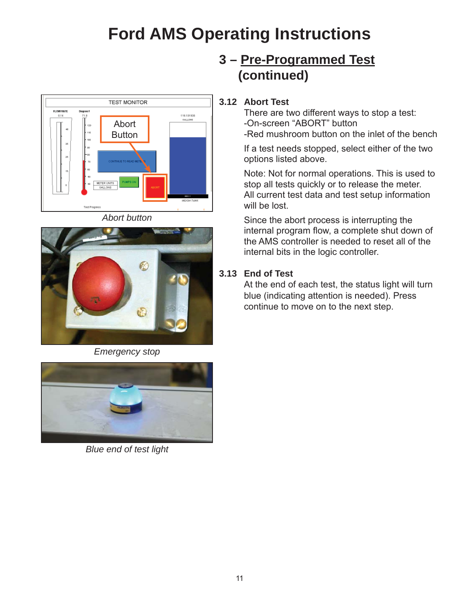

*Abort button*



*Emergency stop*



*Blue end of test light*

## **3 – Pre-Programmed Test (continued)**

#### **3.12 Abort Test**

 There are two different ways to stop a test: -On-screen "ABORT" button -Red mushroom button on the inlet of the bench

 If a test needs stopped, select either of the two options listed above.

 Note: Not for normal operations. This is used to stop all tests quickly or to release the meter. All current test data and test setup information will be lost.

 Since the abort process is interrupting the internal program flow, a complete shut down of the AMS controller is needed to reset all of the internal bits in the logic controller.

#### **3.13 End of Test**

 At the end of each test, the status light will turn blue (indicating attention is needed). Press continue to move on to the next step.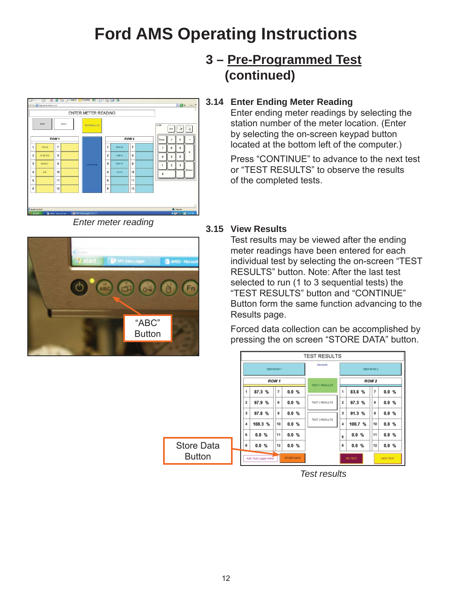

*Enter meter reading*



## **3 – Pre-Programmed Test (continued)**

#### **3.14 Enter Ending Meter Reading**

 Enter ending meter readings by selecting the station number of the meter location. (Enter by selecting the on-screen keypad button located at the bottom left of the computer.)

 Press "CONTINUE" to advance to the next test or "TEST RESULTS" to observe the results of the completed tests.

#### **3.15 View Results**

 Test results may be viewed after the ending meter readings have been entered for each individual test by selecting the on-screen "TEST RESULTS" button. Note: After the last test selected to run (1 to 3 sequential tests) the "TEST RESULTS" button and "CONTINUE" Button form the same function advancing to the Results page.

 Forced data collection can be accomplished by pressing the on screen "STORE DATA" button.



*Test results*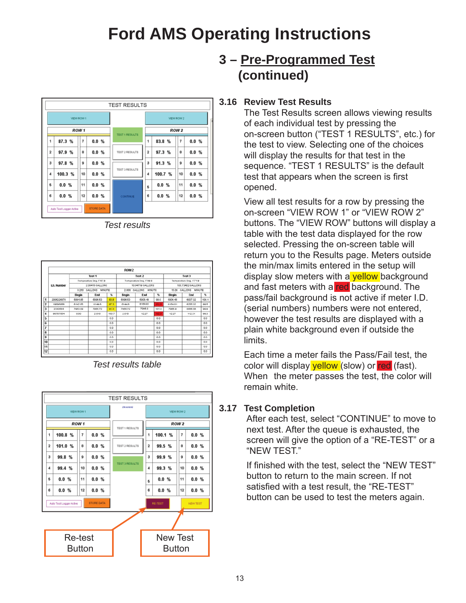

*Test results*

|                                                                                                                                                 |            |                                               |         |               | ROW <sub>2</sub>                                                      |          |                    |                                                                        |         |       |
|-------------------------------------------------------------------------------------------------------------------------------------------------|------------|-----------------------------------------------|---------|---------------|-----------------------------------------------------------------------|----------|--------------------|------------------------------------------------------------------------|---------|-------|
|                                                                                                                                                 | LD, Number |                                               | Test 1  |               |                                                                       | Test 2   |                    |                                                                        | Test 3  |       |
|                                                                                                                                                 |            | Temperature Deg. FB7.9                        |         |               | Temperature Deg. FB9:9<br>10.04719 OALLONS<br>GALLONS MINUTE<br>2.000 |          |                    | Temperature Deg. F71.9<br>100.73402 0ALLONS<br>GALLONS MINUTE<br>15.00 |         |       |
|                                                                                                                                                 |            | 2.00410 GALLONS<br>GALLONS<br>MINUTE<br>0.250 |         |               |                                                                       |          |                    |                                                                        |         |       |
|                                                                                                                                                 |            |                                               |         |               |                                                                       |          |                    |                                                                        |         |       |
|                                                                                                                                                 |            | Begin                                         | End     | $\frac{1}{2}$ | Begin                                                                 | End      | $\frac{a_{1}}{2a}$ | Begin                                                                  | End     | 弘     |
|                                                                                                                                                 | 2006226978 | 6804.85                                       | 6806.63 | 83.8          | 5896.63                                                               | 6006.48  | 99.0               | 6006.48                                                                | 6007.32 | 100.1 |
|                                                                                                                                                 | 19090956   | 6142.65                                       | 6144.6  | 97.3          | 6144.6                                                                | 015-1.81 | \$12.9 15          | 6154.01                                                                | 6255.02 | 99.5  |
| $\frac{1}{2}$ $\frac{2}{3}$ $\frac{3}{4}$ $\frac{4}{5}$ $\frac{5}{6}$ $\frac{6}{7}$ $\frac{7}{10}$ $\frac{6}{10}$ $\frac{7}{10}$ $\frac{1}{10}$ | 2343564    | 7953.99                                       | 7955.72 | 91.3          | 7955.72                                                               | 7065.0   | 101.3              | 7065.9                                                                 | 0066.56 | 99.9  |
|                                                                                                                                                 | 00767554   | 0.00                                          | 2.010   | 100.7         | 2.010                                                                 | 12.27    | <b>ATES</b>        | 12.27                                                                  | 112.91  | 99.3  |
|                                                                                                                                                 |            |                                               |         | 0.0           |                                                                       |          | 0.0                |                                                                        |         | 0.0   |
|                                                                                                                                                 |            |                                               |         | 0.0           |                                                                       |          | 0.0                |                                                                        |         | 0.0   |
|                                                                                                                                                 |            |                                               |         | 0.0           |                                                                       |          | 0.0                |                                                                        |         | 0.0   |
|                                                                                                                                                 |            |                                               |         | 0.O           |                                                                       |          | 0.0                |                                                                        |         | 0.0   |
|                                                                                                                                                 |            |                                               |         | 0.0           |                                                                       |          | 0.0                |                                                                        |         | 0.0   |
|                                                                                                                                                 |            |                                               |         | 0.0           |                                                                       |          | 0.0                |                                                                        |         | 0.0   |
|                                                                                                                                                 |            |                                               |         | 0.0           |                                                                       |          | 0.0                |                                                                        |         | 0.0   |
|                                                                                                                                                 |            |                                               |         | 0.0           |                                                                       |          | 0.0                |                                                                        |         | 0.0   |

*Test results table*



## **3 – Pre-Programmed Test (continued)**

#### **3.16 Review Test Results**

 The Test Results screen allows viewing results of each individual test by pressing the on-screen button ("TEST 1 RESULTS", etc.) for the test to view. Selecting one of the choices will display the results for that test in the sequence. "TEST 1 RESULTS" is the default test that appears when the screen is first opened.

 View all test results for a row by pressing the on-screen "VIEW ROW 1" or "VIEW ROW 2" buttons. The "VIEW ROW" buttons will display a table with the test data displayed for the row selected. Pressing the on-screen table will return you to the Results page. Meters outside the min/max limits entered in the setup will display slow meters with a yellow background and fast meters with a red background. The pass/fail background is not active if meter I.D. (serial numbers) numbers were not entered, however the test results are displayed with a plain white background even if outside the limits.

 Each time a meter fails the Pass/Fail test, the color will display vellow (slow) or red (fast). When the meter passes the test, the color will remain white.

#### **3.17 Test Completion**

 After each test, select "CONTINUE" to move to next test. After the queue is exhausted, the screen will give the option of a "RE-TEST" or a "NEW TEST."

If finished with the test, select the "NEW TEST" button to return to the main screen. If not satisfied with a test result, the "RE-TEST" button can be used to test the meters again.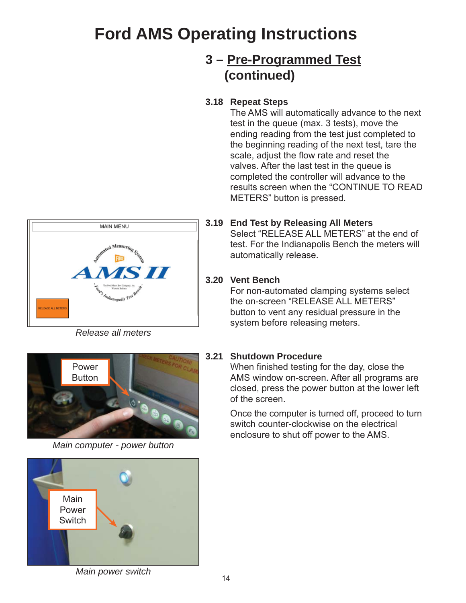## **3 – Pre-Programmed Test (continued)**

#### **3.18 Repeat Steps**

 The AMS will automatically advance to the next test in the queue (max. 3 tests), move the ending reading from the test just completed to the beginning reading of the next test, tare the scale, adjust the flow rate and reset the valves. After the last test in the queue is completed the controller will advance to the results screen when the "CONTINUE TO READ METERS" button is pressed.



**3.19 End Test by Releasing All Meters**

 Select "RELEASE ALL METERS" at the end of test. For the Indianapolis Bench the meters will automatically release.

#### **3.20 Vent Bench**

 For non-automated clamping systems select the on-screen "RELEASE ALL METERS" button to vent any residual pressure in the system before releasing meters.

*Release all meters*



*Main computer - power button*



*Main power switch*

#### **3.21 Shutdown Procedure**

When finished testing for the day, close the AMS window on-screen. After all programs are closed, press the power button at the lower left of the screen.

 Once the computer is turned off, proceed to turn switch counter-clockwise on the electrical enclosure to shut off power to the AMS.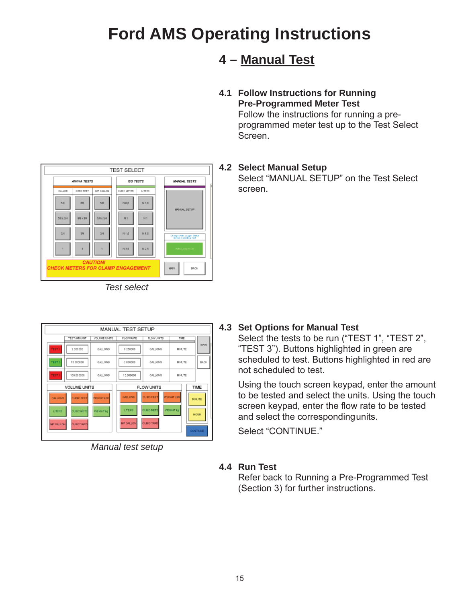## **4 – Manual Test**

#### **4.1 Follow Instructions for Running Pre-Programmed Meter Test**

 Follow the instructions for running a pre programmed meter test up to the Test Select Screen.

#### **4.2 Select Manual Setup**

 Select "MANUAL SETUP" on the Test Select screen.



*Test select*

| MANUAL TEST SETUP               |                                                             |                                |                                         |                                                             |                                |                                         |  |  |
|---------------------------------|-------------------------------------------------------------|--------------------------------|-----------------------------------------|-------------------------------------------------------------|--------------------------------|-----------------------------------------|--|--|
|                                 | TEST AMOUNT                                                 | VOLUME UNITS                   | <b>FLOW RATE</b>                        | <b>FLOW UNITS</b>                                           | TIME                           |                                         |  |  |
| EST <sub>1</sub>                | 2,000000                                                    | GALLONS                        | 0.250000                                | GALLONS                                                     | MINUTE                         | MAN                                     |  |  |
| <b>FEST 3</b>                   | 1.0 DODGDO                                                  | GALLONS                        | 2.000000                                | GALLONS                                                     | MINUTE                         | <b>BACK</b>                             |  |  |
| <b>EST 3</b>                    | 100,000000                                                  | GALLONS                        | 15.000000                               | GALLONS.                                                    | <b>MINUTE</b>                  |                                         |  |  |
|                                 | <b>VOLUME UNITS</b>                                         |                                | <b>FLOW UNITS</b>                       |                                                             |                                | TIME                                    |  |  |
| GALLONS<br>LITERS<br>IMP GALLON | <b>CUBIC FEET</b><br><b>CUBIC METE</b><br><b>CUBIC YARD</b> | <b>WEIGHT LBS</b><br>WEIGHT kg | GALLONS<br>LITERS.<br><b>IMP GALLON</b> | <b>CUBIC FEET</b><br><b>CUBIC METE</b><br><b>CUBIC YARD</b> | <b>WEIGHT LBS</b><br>WEIGHT kg | <b>MNJTE</b><br><b>HOUR</b><br>CONTINUE |  |  |

*Manual test setup*

#### **4.3 Set Options for Manual Test**

 Select the tests to be run ("TEST 1", "TEST 2", "TEST 3"). Buttons highlighted in green are scheduled to test. Buttons highlighted in red are not scheduled to test.

 Using the touch screen keypad, enter the amount to be tested and select the units. Using the touch screen keypad, enter the flow rate to be tested and select the corresponding units.

Select "CONTINUE."

#### **4.4 Run Test**

 Refer back to Running a Pre-Programmed Test (Section 3) for further instructions.